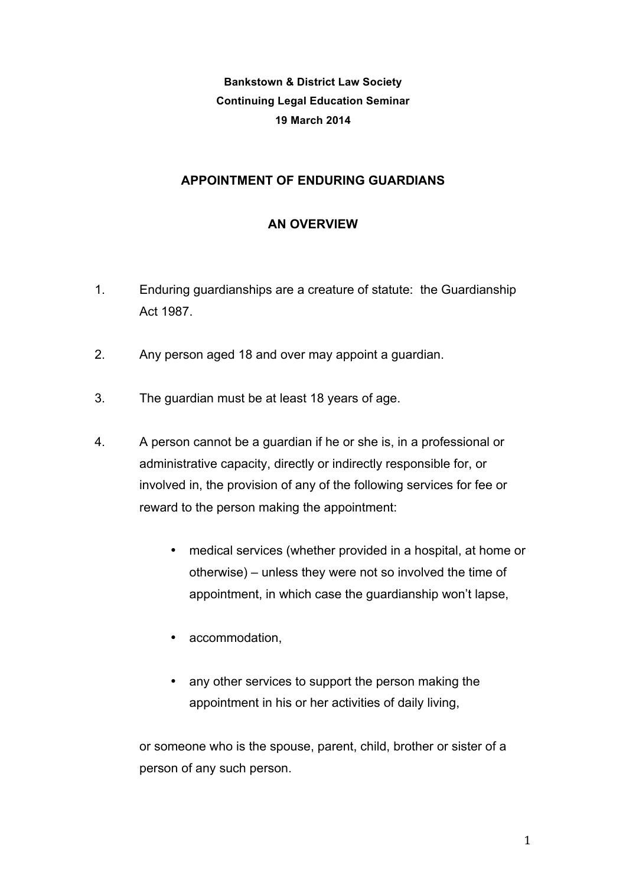**Bankstown & District Law Society Continuing Legal Education Seminar 19 March 2014**

## **APPOINTMENT OF ENDURING GUARDIANS**

## **AN OVERVIEW**

- 1. Enduring guardianships are a creature of statute: the Guardianship Act 1987.
- 2. Any person aged 18 and over may appoint a guardian.
- 3. The guardian must be at least 18 years of age.
- 4. A person cannot be a guardian if he or she is, in a professional or administrative capacity, directly or indirectly responsible for, or involved in, the provision of any of the following services for fee or reward to the person making the appointment:
	- medical services (whether provided in a hospital, at home or otherwise) – unless they were not so involved the time of appointment, in which case the guardianship won't lapse,
	- accommodation,
	- any other services to support the person making the appointment in his or her activities of daily living,

or someone who is the spouse, parent, child, brother or sister of a person of any such person.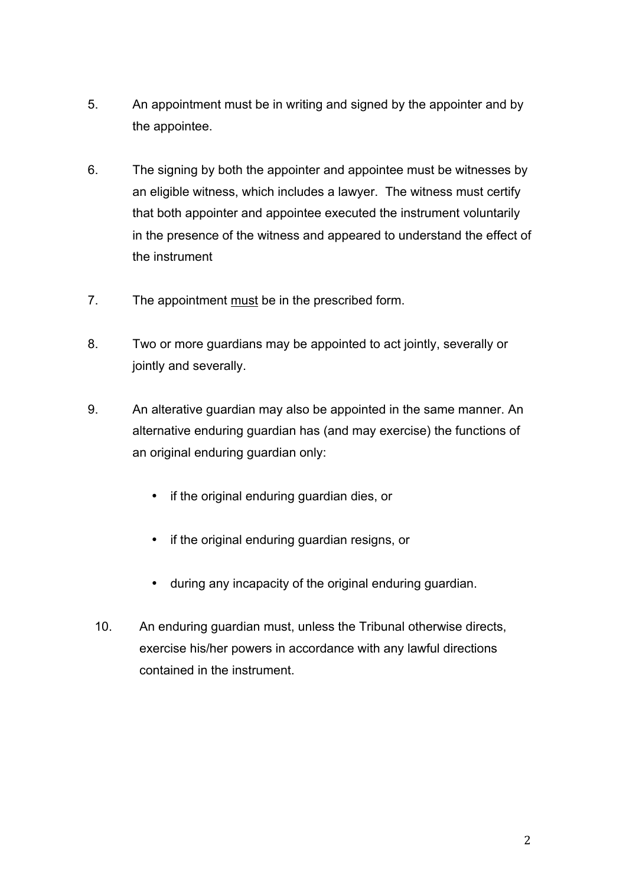- 5. An appointment must be in writing and signed by the appointer and by the appointee.
- 6. The signing by both the appointer and appointee must be witnesses by an eligible witness, which includes a lawyer. The witness must certify that both appointer and appointee executed the instrument voluntarily in the presence of the witness and appeared to understand the effect of the instrument
- 7. The appointment must be in the prescribed form.
- 8. Two or more guardians may be appointed to act jointly, severally or jointly and severally.
- 9. An alterative guardian may also be appointed in the same manner. An alternative enduring guardian has (and may exercise) the functions of an original enduring guardian only:
	- if the original enduring guardian dies, or
	- if the original enduring guardian resigns, or
	- during any incapacity of the original enduring guardian.
	- 10. An enduring guardian must, unless the Tribunal otherwise directs, exercise his/her powers in accordance with any lawful directions contained in the instrument.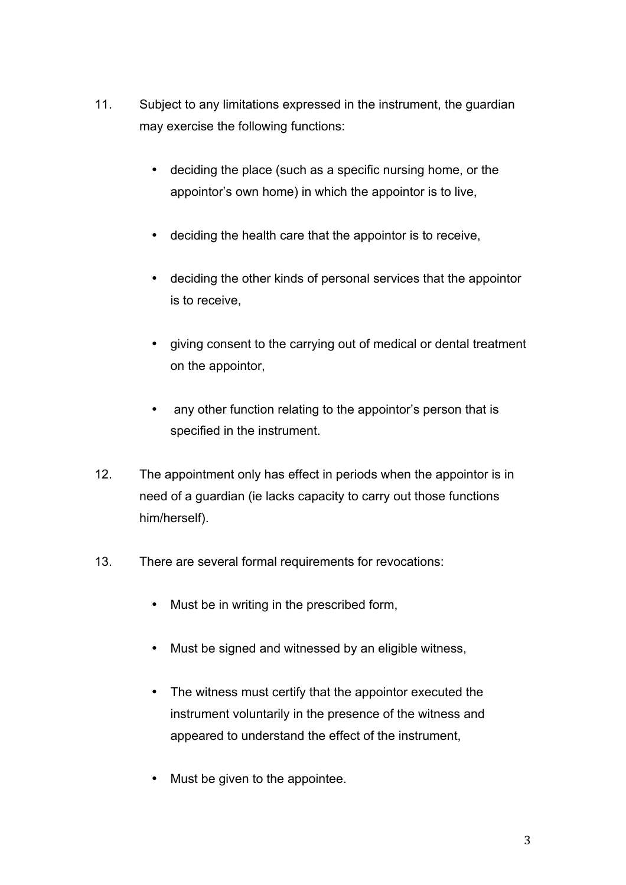- 11. Subject to any limitations expressed in the instrument, the guardian may exercise the following functions:
	- deciding the place (such as a specific nursing home, or the appointor's own home) in which the appointor is to live,
	- deciding the health care that the appointor is to receive,
	- deciding the other kinds of personal services that the appointor is to receive,
	- giving consent to the carrying out of medical or dental treatment on the appointor,
	- any other function relating to the appointor's person that is specified in the instrument.
- 12. The appointment only has effect in periods when the appointor is in need of a guardian (ie lacks capacity to carry out those functions him/herself).
- 13. There are several formal requirements for revocations:
	- Must be in writing in the prescribed form,
	- Must be signed and witnessed by an eligible witness,
	- The witness must certify that the appointor executed the instrument voluntarily in the presence of the witness and appeared to understand the effect of the instrument,
	- Must be given to the appointee.